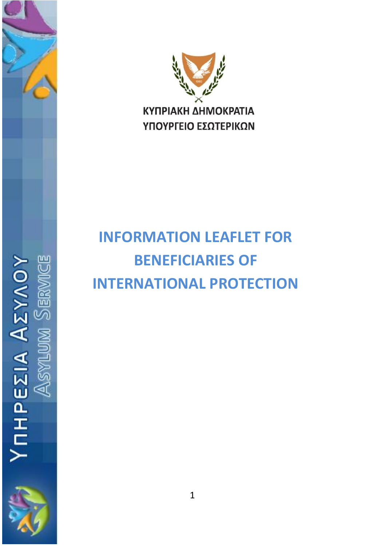



# **INFORMATION LEAFLET FOR BENEFICIARIES OF INTERNATIONAL PROTECTION**

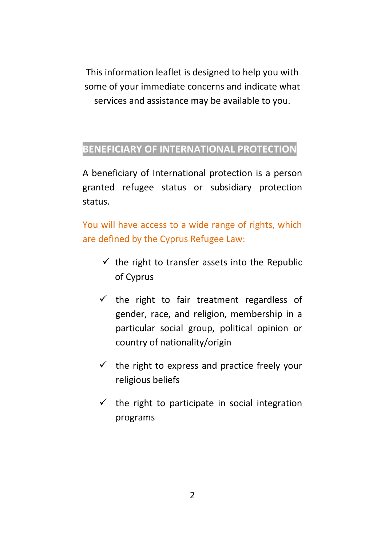This information leaflet is designed to help you with some of your immediate concerns and indicate what services and assistance may be available to you.

## **BENEFICIARY OF INTERNATIONAL PROTECTION**

A beneficiary of International protection is a person granted refugee status or subsidiary protection status.

You will have access to a wide range of rights, which are defined by the Cyprus Refugee Law:

- $\checkmark$  the right to transfer assets into the Republic of Cyprus
- $\checkmark$  the right to fair treatment regardless of gender, race, and religion, membership in a particular social group, political opinion or country of nationality/origin
- $\checkmark$  the right to express and practice freely your religious beliefs
- $\checkmark$  the right to participate in social integration programs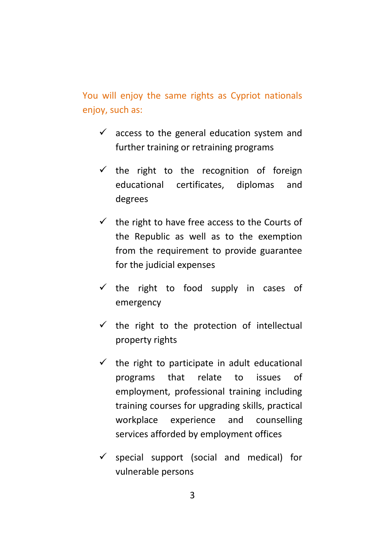You will enjoy the same rights as Cypriot nationals enjoy, such as:

- $\checkmark$  access to the general education system and further training or retraining programs
- $\checkmark$  the right to the recognition of foreign educational certificates, diplomas and degrees
- $\checkmark$  the right to have free access to the Courts of the Republic as well as to the exemption from the requirement to provide guarantee for the judicial expenses
- $\checkmark$  the right to food supply in cases of emergency
- $\checkmark$  the right to the protection of intellectual property rights
- $\checkmark$  the right to participate in adult educational programs that relate to issues of employment, professional training including training courses for upgrading skills, practical workplace experience and counselling services afforded by employment offices
- $\checkmark$  special support (social and medical) for vulnerable persons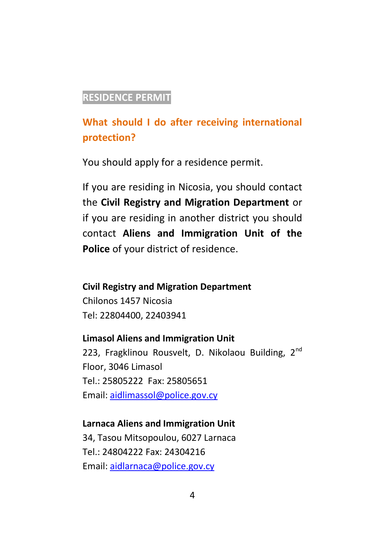## **RESIDENCE PERMIT**

## **What should I do after receiving international protection?**

You should apply for a residence permit.

If you are residing in Nicosia, you should contact the **Civil Registry and Migration Department** or if you are residing in another district you should contact **Aliens and Immigration Unit of the Police** of your district of residence.

#### **Civil Registry and Migration Department**

Chilonos 1457 Nicosia Tel: 22804400, 22403941

#### **Limasol Aliens and Immigration Unit**

223, Fragklinou Rousvelt, D. Nikolaou Building, 2<sup>nd</sup> Floor, 3046 Limasol Tel.: 25805222 Fax: 25805651 Email: [aidlimassol@police.gov.cy](mailto:aidlimassol@police.gov.cy)

## **Larnaca Aliens and Immigration Unit**

34, Tasou Mitsopoulou, 6027 Larnaca Tel.: 24804222 Fax: 24304216 Email: [aidlarnaca@police.gov.cy](mailto:aidlarnaca@police.gov.cy)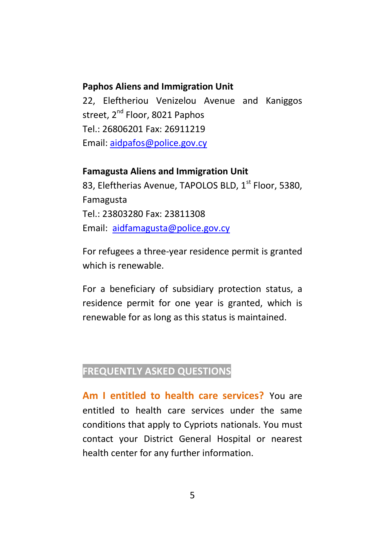#### **Paphos Aliens and Immigration Unit**

22, Eleftheriou Venizelou Avenue and Kaniggos street, 2<sup>nd</sup> Floor, 8021 Paphos Tel.: 26806201 Fax: 26911219 Email: [aidpafos@police.gov.cy](mailto:aidpafos@police.gov.cy)

#### **Famagusta Aliens and Immigration Unit**

83, Eleftherias Avenue, TAPOLOS BLD, 1<sup>st</sup> Floor, 5380, Famagusta Tel.: 23803280 Fax: 23811308 Email: [aidfamagusta@police.gov.cy](mailto:aidfamagusta@police.gov.cy)

For refugees a three-year residence permit is granted which is renewable.

For a beneficiary of subsidiary protection status, a residence permit for one year is granted, which is renewable for as long as this status is maintained.

## **FREQUENTLY ASKED QUESTIONS**

**Am I entitled to health care services?** You are entitled to health care services under the same conditions that apply to Cypriots nationals. You must contact your District General Hospital or nearest health center for any further information.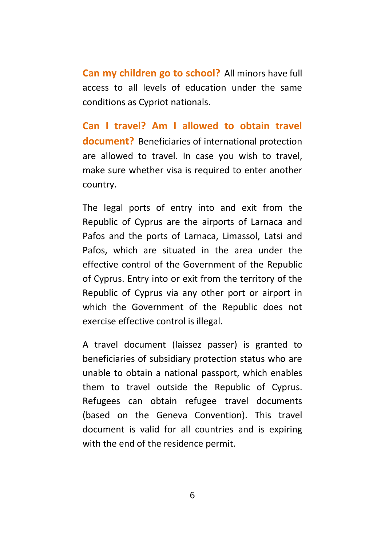**Can my children go to school?** All minors have full access to all levels of education under the same conditions as Cypriot nationals.

**Can I travel? Am I allowed to obtain travel document?** Beneficiaries of international protection are allowed to travel. In case you wish to travel, make sure whether visa is required to enter another country.

The legal ports of entry into and exit from the Republic of Cyprus are the airports of Larnaca and Pafos and the ports of Larnaca, Limassol, Latsi and Pafos, which are situated in the area under the effective control of the Government of the Republic of Cyprus. Entry into or exit from the territory of the Republic of Cyprus via any other port or airport in which the Government of the Republic does not exercise effective control is illegal.

A travel document (laissez passer) is granted to beneficiaries of subsidiary protection status who are unable to obtain a national passport, which enables them to travel outside the Republic of Cyprus. Refugees can obtain refugee travel documents (based on the Geneva Convention). This travel document is valid for all countries and is expiring with the end of the residence permit.

6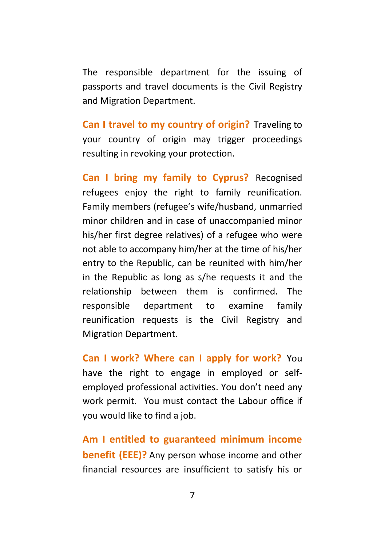The responsible department for the issuing of passports and travel documents is the Civil Registry and Migration Department.

**Can I travel to my country of origin?** Traveling to your country of origin may trigger proceedings resulting in revoking your protection.

**Can I bring my family to Cyprus?** Recognised refugees enjoy the right to family reunification. Family members (refugee's wife/husband, unmarried minor children and in case of unaccompanied minor his/her first degree relatives) of a refugee who were not able to accompany him/her at the time of his/her entry to the Republic, can be reunited with him/her in the Republic as long as s/he requests it and the relationship between them is confirmed. The responsible department to examine family reunification requests is the Civil Registry and Migration Department.

**Can I work? Where can I apply for work?** You have the right to engage in employed or selfemployed professional activities. You don't need any work permit. You must contact the Labour office if you would like to find a job.

**Am I entitled to guaranteed minimum income benefit (EEE)?** Any person whose income and other financial resources are insufficient to satisfy his or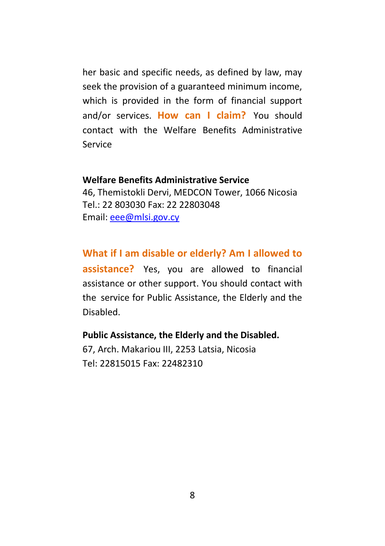her basic and specific needs, as defined by law, may seek the provision of a guaranteed minimum income, which is provided in the form of financial support and/or services. **How can I claim?** You should contact with the Welfare Benefits Administrative Service

#### **Welfare Benefits Administrative Service**

46, Themistokli Dervi, MEDCON Tower, 1066 Nicosia Tel.: 22 803030 Fax: 22 22803048 Email: [eee@mlsi.gov.cy](mailto:eee@mlsi.gov.cy)

#### **What if I am disable or elderly? Am I allowed to**

**assistance?** Yes, you are allowed to financial assistance or other support. You should contact with the service for Public Assistance, the Elderly and the Disabled.

#### **Public Assistance, the Elderly and the Disabled.**

67, Arch. Makariou III, 2253 Latsia, Nicosia Tel: 22815015 Fax: 22482310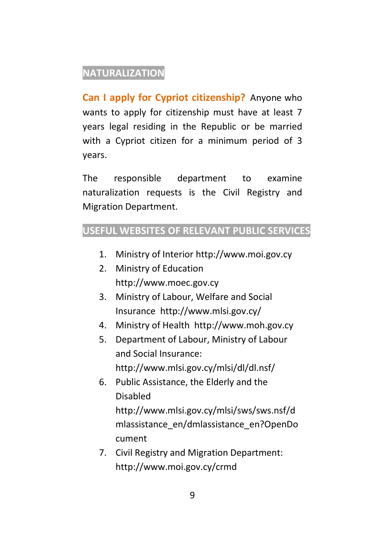## **NATURALIZATION**

**Can I apply for Cypriot citizenship?** Anyone who wants to apply for citizenship must have at least 7 years legal residing in the Republic or be married with a Cypriot citizen for a minimum period of 3 years.

The responsible department to examine naturalization requests is the Civil Registry and Migration Department.

## **USEFUL WEBSITES OF RELEVANT PUBLIC SERVICES**

- 1. Ministry of Interior [http://www.moi.gov.cy](http://www.moi.gov.cy/)
- 2. Ministry of Education [http://www.moec.gov.cy](http://www.moec.gov.cy/)
- 3. Ministry of Labour, Welfare and Social Insurance<http://www.mlsi.gov.cy/>
- 4. Ministry of Health [http://www.moh.gov.cy](http://www.moh.gov.cy/)
- 5. Department of Labour, Ministry of Labour and Social Insurance: <http://www.mlsi.gov.cy/mlsi/dl/dl.nsf/>
- 6. Public Assistance, the Elderly and the Disabled [http://www.mlsi.gov.cy/mlsi/sws/sws.nsf/d](http://www.mlsi.gov.cy/mlsi/sws/sws.nsf/dmlassistance_en/dmlassistance_en?OpenDocument) [mlassistance\\_en/dmlassistance\\_en?OpenDo](http://www.mlsi.gov.cy/mlsi/sws/sws.nsf/dmlassistance_en/dmlassistance_en?OpenDocument) [cument](http://www.mlsi.gov.cy/mlsi/sws/sws.nsf/dmlassistance_en/dmlassistance_en?OpenDocument)
- 7. Civil Registry and Migration Department: <http://www.moi.gov.cy/crmd>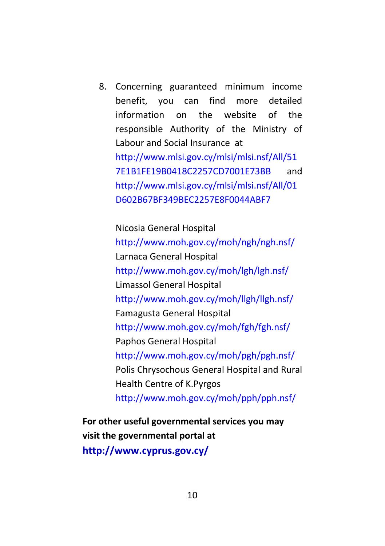8. Concerning guaranteed minimum income benefit, you can find more detailed information on the website of the responsible Authority of the Ministry of Labour and Social Insurance at [http://www.mlsi.gov.cy/mlsi/mlsi.nsf/All/51](http://www.mlsi.gov.cy/mlsi/mlsi.nsf/All/517E1B1FE19B0418C2257CD7001E73BB) [7E1B1FE19B0418C2257CD7001E73BB](http://www.mlsi.gov.cy/mlsi/mlsi.nsf/All/517E1B1FE19B0418C2257CD7001E73BB) and [http://www.mlsi.gov.cy/mlsi/mlsi.nsf/All/01](http://www.mlsi.gov.cy/mlsi/mlsi.nsf/All/01D602B67BF349BEC2257E8F0044ABF7) [D602B67BF349BEC2257E8F0044ABF7](http://www.mlsi.gov.cy/mlsi/mlsi.nsf/All/01D602B67BF349BEC2257E8F0044ABF7)

Nicosia General Hospital

<http://www.moh.gov.cy/moh/ngh/ngh.nsf/> Larnaca General Hospital <http://www.moh.gov.cy/moh/lgh/lgh.nsf/> Limassol General Hospital <http://www.moh.gov.cy/moh/llgh/llgh.nsf/> Famagusta General Hospital <http://www.moh.gov.cy/moh/fgh/fgh.nsf/> Paphos General Hospital <http://www.moh.gov.cy/moh/pgh/pgh.nsf/> Polis Chrysochous General Hospital and Rural Health Centre of K.Pyrgos <http://www.moh.gov.cy/moh/pph/pph.nsf/>

**For other useful governmental services you may visit the governmental portal at <http://www.cyprus.gov.cy/>**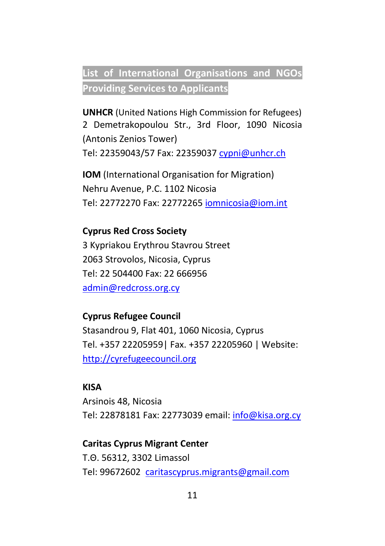## **List of International Organisations and NGOs Providing Services to Applicants**

**UNHCR** (United Nations High Commission for Refugees) 2 Demetrakopoulou Str., 3rd Floor, 1090 Nicosia (Antonis Zenios Tower) Tel: 22359043/57 Fax: 22359037 [cypni@unhcr.ch](mailto:cypni@unhcr.ch)

**IOM** (International Organisation for Migration) Nehru Avenue, P.C. 1102 Nicosia Tel: 22772270 Fax: 22772265 [iomnicosia@iom.int](mailto:iomnicosia@iom.int)

### **Cyprus Red Cross Society**

3 Kypriakou Erythrou Stavrou Street 2063 Strovolos, Nicosia, Cyprus Tel: 22 504400 Fax: 22 666956 [admin@redcross.org.cy](mailto:admin@redcross.org.cy)

#### **Cyprus Refugee Council**

Stasandrou 9, Flat 401, 1060 Nicosia, Cyprus Tel. +357 22205959| Fax. +357 22205960 | Website: [http://cyrefugeecouncil.org](http://cyrefugeecouncil.org/)

#### **KISA**

Arsinois 48, Nicosia Tel: 22878181 Fax: 22773039 email[: info@kisa.org.cy](mailto:info@kisa.org.cy)

## **Caritas Cyprus Migrant Center**

Τ.Θ. 56312, 3302 Limassol Tel: 99672602 [caritascyprus.migrants@gmail.com](mailto:caritascyprus.migrants@gmail.com)